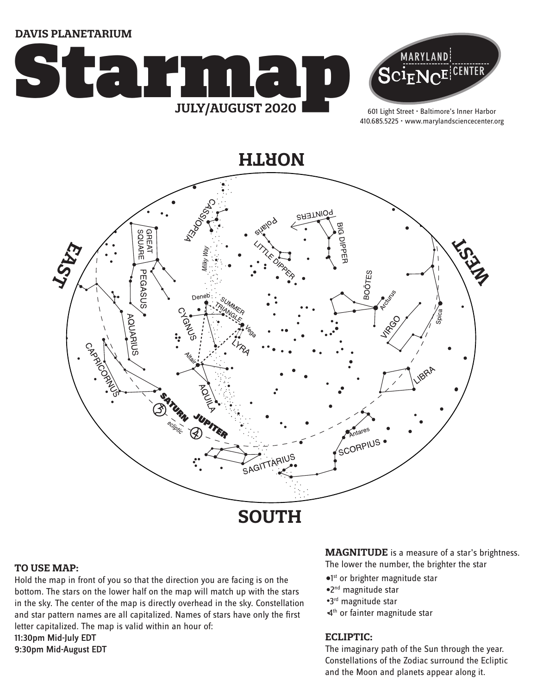**DAVIS PLANETARIUM**





601 Light Street • Baltimore's Inner Harbor 410.685.5225 • www.marylandsciencecenter.org

**NORTH**



#### **TO USE MAP:**

Hold the map in front of you so that the direction you are facing is on the bottom. The stars on the lower half on the map will match up with the stars in the sky. The center of the map is directly overhead in the sky. Constellation and star pattern names are all capitalized. Names of stars have only the first letter capitalized. The map is valid within an hour of: 11:30pm Mid-July EDT 9:30pm Mid-August EDT

**MAGNITUDE** is a measure of a star's brightness.

The lower the number, the brighter the star

- <sup>o1st</sup> or brighter magnitude star
- 2nd magnitude star
- 3rd magnitude star
- 4<sup>th</sup> or fainter magnitude star

#### **ECLIPTIC:**

The imaginary path of the Sun through the year. Constellations of the Zodiac surround the Ecliptic and the Moon and planets appear along it.